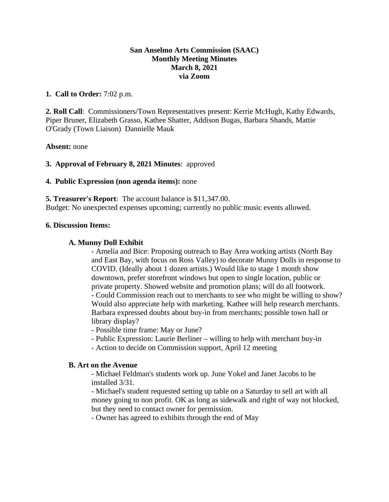### **San Anselmo Arts Commission (SAAC) Monthly Meeting Minutes March 8, 2021 via Zoom**

### **1. Call to Order:** 7:02 p.m.

**2. Roll Call**: Commissioners/Town Representatives present: Kerrie McHugh, Kathy Edwards, Piper Bruner, Elizabeth Grasso, Kathee Shatter, Addison Bugas, Barbara Shands, Mattie O'Grady (Town Liaison) Dannielle Mauk

**Absent:** none

### **3. Approval of February 8, 2021 Minutes**: approved

### **4. Public Expression (non agenda items):** none

**5. Treasurer's Report**: The account balance is \$11,347.00. Budget: No unexpected expenses upcoming; currently no public music events allowed.

#### **6. Discussion Items:**

#### **A. Munny Doll Exhibit**

- Amelia and Bice: Proposing outreach to Bay Area working artists (North Bay and East Bay, with focus on Ross Valley) to decorate Munny Dolls in response to COVID. (Ideally about 1 dozen artists.) Would like to stage 1 month show downtown, prefer storefront windows but open to single location, public or private property. Showed website and promotion plans; will do all footwork. - Could Commission reach out to merchants to see who might be willing to show? Would also appreciate help with marketing. Kathee will help research merchants. Barbara expressed doubts about buy-in from merchants; possible town hall or library display?

- Possible time frame: May or June?

- Public Expression: Laurie Berliner willing to help with merchant buy-in
- Action to decide on Commission support, April 12 meeting

### **B. Art on the Avenue**

- Michael Feldman's students work up. June Yokel and Janet Jacobs to be installed 3/31.

- Michael's student requested setting up table on a Saturday to sell art with all money going to non profit. OK as long as sidewalk and right of way not blocked, but they need to contact owner for permission.

- Owner has agreed to exhibits through the end of May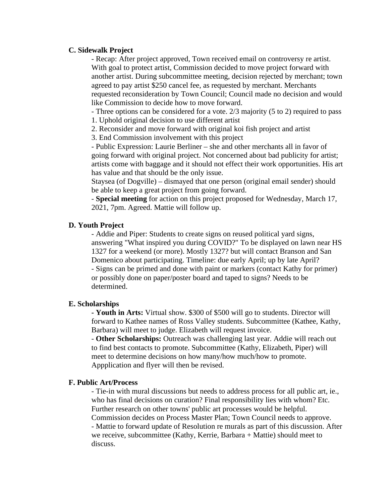#### **C. Sidewalk Project**

- Recap: After project approved, Town received email on controversy re artist. With goal to protect artist, Commission decided to move project forward with another artist. During subcommittee meeting, decision rejected by merchant; town agreed to pay artist \$250 cancel fee, as requested by merchant. Merchants requested reconsideration by Town Council; Council made no decision and would like Commission to decide how to move forward.

- Three options can be considered for a vote. 2/3 majority (5 to 2) required to pass

1. Uphold original decision to use different artist

2. Reconsider and move forward with original koi fish project and artist

3. End Commission involvement with this project

- Public Expression: Laurie Berliner – she and other merchants all in favor of going forward with original project. Not concerned about bad publicity for artist; artists come with baggage and it should not effect their work opportunities. His art has value and that should be the only issue.

Staysea (of Dogville) – dismayed that one person (original email sender) should be able to keep a great project from going forward.

- **Special meeting** for action on this project proposed for Wednesday, March 17, 2021, 7pm. Agreed. Mattie will follow up.

## **D. Youth Project**

- Addie and Piper: Students to create signs on reused political yard signs, answering "What inspired you during COVID?" To be displayed on lawn near HS 1327 for a weekend (or more). Mostly 1327? but will contact Branson and San Domenico about participating. Timeline: due early April; up by late April? - Signs can be primed and done with paint or markers (contact Kathy for primer) or possibly done on paper/poster board and taped to signs? Needs to be determined.

## **E. Scholarships**

**- Youth in Arts:** Virtual show. \$300 of \$500 will go to students. Director will forward to Kathee names of Ross Valley students. Subcommittee (Kathee, Kathy, Barbara) will meet to judge. Elizabeth will request invoice.

- **Other Scholarships:** Outreach was challenging last year. Addie will reach out to find best contacts to promote. Subcommittee (Kathy, Elizabeth, Piper) will meet to determine decisions on how many/how much/how to promote. Appplication and flyer will then be revised.

## **F. Public Art/Process**

- Tie-in with mural discussions but needs to address process for all public art, ie., who has final decisions on curation? Final responsibility lies with whom? Etc. Further research on other towns' public art processes would be helpful. Commission decides on Process Master Plan; Town Council needs to approve. - Mattie to forward update of Resolution re murals as part of this discussion. After we receive, subcommittee (Kathy, Kerrie, Barbara + Mattie) should meet to discuss.